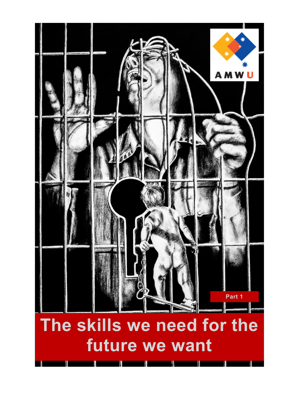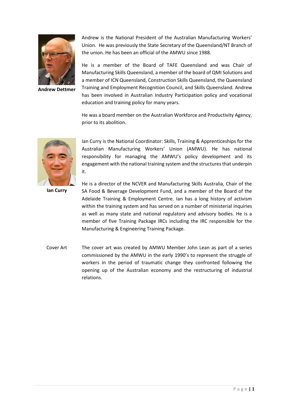

**Andrew Dettmer**

Andrew is the National President of the Australian Manufacturing Workers' Union. He was previously the State Secretary of the Queensland/NT Branch of the union. He has been an official of the AMWU since 1988.

He is a member of the Board of TAFE Queensland and was Chair of Manufacturing Skills Queensland, a member of the board of QMI Solutions and a member of ICN Queensland, Construction Skills Queensland, the Queensland Training and Employment Recognition Council, and Skills Queensland. Andrew has been involved in Australian Industry Participation policy and vocational education and training policy for many years.

He was a board member on the Australian Workforce and Productivity Agency, prior to its abolition.



Ian Curry is the National Coordinator: Skills, Training & Apprenticeships for the Australian Manufacturing Workers' Union (AMWU). He has national responsibility for managing the AMWU's policy development and its engagement with the national training system and the structures that underpin it.

**Ian Curry**

He is a director of the NCVER and Manufacturing Skills Australia, Chair of the SA Food & Beverage Development Fund, and a member of the Board of the Adelaide Training & Employment Centre. Ian has a long history of activism within the training system and has served on a number of ministerial inquiries as well as many state and national regulatory and advisory bodies. He is a member of five Training Package IRCs including the IRC responsible for the Manufacturing & Engineering Training Package.

Cover Art The cover art was created by AMWU Member John Lean as part of a series commissioned by the AMWU in the early 1990's to represent the struggle of workers in the period of traumatic change they confronted following the opening up of the Australian economy and the restructuring of industrial relations.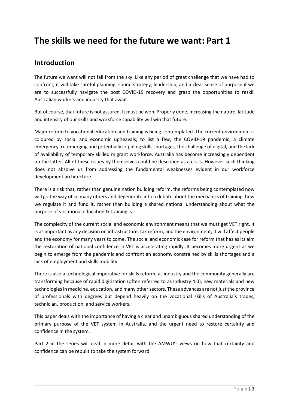# **The skills we need for the future we want: Part 1**

# **Introduction**

The future we want will not fall from the sky. Like any period of great challenge that we have had to confront, it will take careful planning, sound strategy, leadership, and a clear sense of purpose if we are to successfully navigate the post COVID-19 recovery and grasp the opportunities to reskill Australian workers and industry that await.

But of course, that future is not assured. It must be won. Properly done, increasing the nature, latitude and intensity of our skills and workforce capability will win that future.

Major reform to vocational education and training is being contemplated. The current environment is coloured by social and economic upheavals; to list a few, the COVID-19 pandemic, a climate emergency, re-emerging and potentially crippling skills shortages, the challenge of digital, and the lack of availability of temporary skilled migrant workforce. Australia has become increasingly dependent on the latter. All of these issues by themselves could be described as a crisis. However such thinking does not absolve us from addressing the fundamental weaknesses evident in our workforce development architecture.

There is a risk that, rather than genuine nation building reform, the reforms being contemplated now will go the way of so many others and degenerate into a debate about the mechanics of training, how we regulate it and fund it, rather than building a shared national understanding about what the purpose of vocational education & training is.

The complexity of the current social and economic environment means that we must get VET right. It is as important as any decision on infrastructure, tax reform, and the environment; it will affect people and the economy for many years to come. The social and economic case for reform that has as its aim the restoration of national confidence in VET is accelerating rapidly. It becomes more urgent as we begin to emerge from the pandemic and confront an economy constrained by skills shortages and a lack of employment and skills mobility.

There is also a technological imperative for skills reform, as industry and the community generally are transforming because of rapid digitisation (often referred to as Industry 4.0), new materials and new technologies in medicine, education, and many other sectors. These advances are not just the province of professionals with degrees but depend heavily on the vocational skills of Australia's trades, technician, production, and service workers.

This paper deals with the importance of having a clear and unambiguous shared understanding of the primary purpose of the VET system in Australia, and the urgent need to restore certainty and confidence in the system.

Part 2 in the series will deal in more detail with the AMWU's views on how that certainty and confidence can be rebuilt to take the system forward.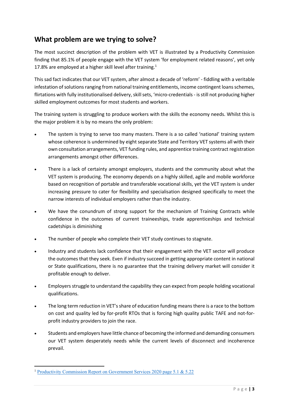# **What problem are we trying to solve?**

The most succinct description of the problem with VET is illustrated by a Productivity Commission finding that 85.1% of people engage with the VET system 'for employment related reasons', yet only 17.8% are employed at a higher skill level after training. $1$ 

This sad fact indicates that our VET system, after almost a decade of 'reform' - fiddling with a veritable infestation of solutions ranging from national training entitlements, income contingent loans schemes, flirtations with fully institutionalised delivery, skill sets, 'micro-credentials- is still not producing higher skilled employment outcomes for most students and workers.

The training system is struggling to produce workers with the skills the economy needs. Whilst this is the major problem it is by no means the only problem:

- The system is trying to serve too many masters. There is a so called 'national' training system whose coherence is undermined by eight separate State and Territory VET systems all with their own consultation arrangements, VET funding rules, and apprentice training contract registration arrangements amongst other differences.
- There is a lack of certainty amongst employers, students and the community about what the VET system is producing. The economy depends on a highly skilled, agile and mobile workforce based on recognition of portable and transferable vocational skills, yet the VET system is under increasing pressure to cater for flexibility and specialisation designed specifically to meet the narrow interests of individual employers rather than the industry.
- We have the conundrum of strong support for the mechanism of Training Contracts while confidence in the outcomes of current traineeships, trade apprenticeships and technical cadetships is diminishing
- The number of people who complete their VET study continues to stagnate.
- Industry and students lack confidence that their engagement with the VET sector will produce the outcomes that they seek. Even if industry succeed in getting appropriate content in national or State qualifications, there is no guarantee that the training delivery market will consider it profitable enough to deliver.
- Employers struggle to understand the capability they can expect from people holding vocational qualifications.
- The long term reduction in VET's share of education funding means there is a race to the bottom on cost and quality led by for-profit RTOs that is forcing high quality public TAFE and not-forprofit industry providers to join the race.
- Students and employers have little chance of becoming the informed and demanding consumers our VET system desperately needs while the current levels of disconnect and incoherence prevail.

<sup>&</sup>lt;sup>1</sup> [Productivity Commission Report on Government Services 2020 page 5.1 & 5.22](https://www.pc.gov.au/research/ongoing/report-on-government-services/2020/child-care-education-and-training/vocational-education-and-training)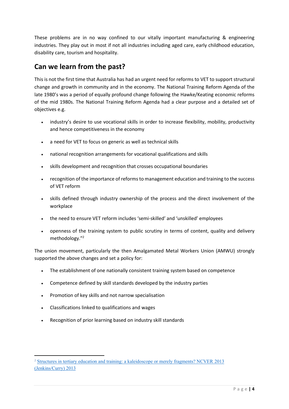These problems are in no way confined to our vitally important manufacturing & engineering industries. They play out in most if not all industries including aged care, early childhood education, disability care, tourism and hospitality.

# **Can we learn from the past?**

This is not the first time that Australia has had an urgent need for reforms to VET to support structural change and growth in community and in the economy. The National Training Reform Agenda of the late 1980's was a period of equally profound change following the Hawke/Keating economic reforms of the mid 1980s. The National Training Reform Agenda had a clear purpose and a detailed set of objectives e.g.

- industry's desire to use vocational skills in order to increase flexibility, mobility, productivity and hence competitiveness in the economy
- a need for VET to focus on generic as well as technical skills
- national recognition arrangements for vocational qualifications and skills
- skills development and recognition that crosses occupational boundaries
- recognition of the importance of reforms to management education and training to the success of VET reform
- skills defined through industry ownership of the process and the direct involvement of the workplace
- the need to ensure VET reform includes 'semi-skilled' and 'unskilled' employees
- openness of the training system to public scrutiny in terms of content, quality and delivery methodology."<sup>2</sup>

The union movement, particularly the then Amalgamated Metal Workers Union (AMWU) strongly supported the above changes and set a policy for:

- The establishment of one nationally consistent training system based on competence
- Competence defined by skill standards developed by the industry parties
- Promotion of key skills and not narrow specialisation
- Classifications linked to qualifications and wages
- Recognition of prior learning based on industry skill standards

<sup>2</sup> [Structures in tertiary education and training: a kaleidoscope or merely fragments? NCVER](https://www.ncver.edu.au/research-and-statistics/publications/all-publications/structures-in-tertiary-education-and-training-a-kaleidoscope-or-merely-fragments-research-readings) 2013 [\(Jenkins/Curry\) 2013](https://www.ncver.edu.au/research-and-statistics/publications/all-publications/structures-in-tertiary-education-and-training-a-kaleidoscope-or-merely-fragments-research-readings)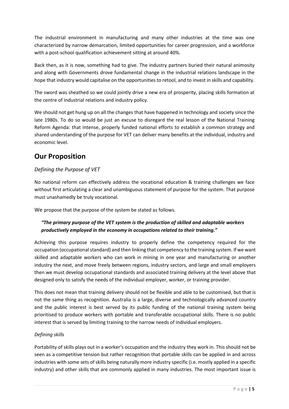The industrial environment in manufacturing and many other industries at the time was one characterized by narrow demarcation, limited opportunities for career progression, and a workforce with a post-school qualification achievement sitting at around 40%.

Back then, as it is now, something had to give. The industry partners buried their natural animosity and along with Governments drove fundamental change in the industrial relations landscape in the hope that industry would capitalise on the opportunities to retool, and to invest in skills and capability.

The sword was sheathed so we could jointly drive a new era of prosperity, placing skills formation at the centre of industrial relations and industry policy.

We should not get hung up on all the changes that have happened in technology and society since the late 1980s. To do so would be just an excuse to disregard the real lesson of the National Training Reform Agenda: that intense, properly funded national efforts to establish a common strategy and shared understanding of the purpose for VET can deliver many benefits at the individual, industry and economic level.

# **Our Proposition**

### *Defining the Purpose of VET*

No national reform can effectively address the vocational education & training challenges we face without first articulating a clear and unambiguous statement of purpose for the system. That purpose must unashamedly be truly vocational.

We propose that the purpose of the system be stated as follows.

## *"The primary purpose of the VET system is the production of skilled and adaptable workers productively employed in the economy in occupations related to their training."*

Achieving this purpose requires industry to properly define the competency required for the occupation (occupational standard) and then linking that competency to the training system. If we want skilled and adaptable workers who can work in mining in one year and manufacturing or another industry the next, and move freely between regions, industry sectors, and large and small employers then we must develop occupational standards and associated training delivery at the level above that designed only to satisfy the needs of the individual employer, worker, or training provider.

This does not mean that training delivery should not be flexible and able to be customised, but that is not the same thing as recognition. Australia is a large, diverse and technologically advanced country and the public interest is best served by its public funding of the national training system being prioritised to produce workers with portable and transferable occupational skills. There is no public interest that is served by limiting training to the narrow needs of individual employers.

### *Defining skills*

Portability of skills plays out in a worker's occupation and the industry they work in. This should not be seen as a competitive tension but rather recognition that portable skills can be applied in and across industries with some sets of skills being naturally more industry specific (i.e. mostly applied in a specific industry) and other skills that are commonly applied in many industries. The most important issue is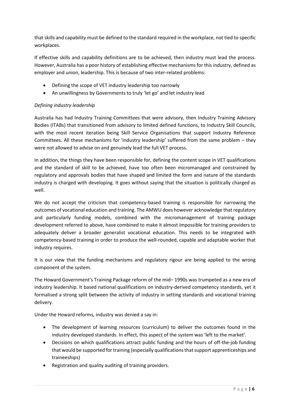that skills and capability must be defined to the standard required in the workplace, not tied to specific workplaces.

If effective skills and capability definitions are to be achieved, then industry must lead the process. However, Australia has a poor history of establishing effective mechanisms for this industry, defined as employer and union, leadership. This is because of two inter-related problems:

- Defining the scope of VET industry leadership too narrowly
- An unwillingness by Governments to truly 'let go' and let industry lead

### *Defining industry leadership*

Australia has had Industry Training Committees that were advisory, then Industry Training Advisory Bodies (ITABs) that transitioned from advisory to limited defined functions, to Industry Skill Councils, with the most recent iteration being Skill Service Organisations that support Industry Reference Committees. All these mechanisms for 'industry leadership' suffered from the same problem – they were not allowed to advise on and genuinely lead the full VET process.

In addition, the things they have been responsible for, defining the content scope in VET qualifications and the standard of skill to be achieved, have too often been micromanaged and constrained by regulatory and approvals bodies that have shaped and limited the form and nature of the standards industry is charged with developing. It goes without saying that the situation is politically charged as well.

We do not accept the criticism that competency-based training is responsible for narrowing the outcomes of vocational education and training. The AMWU does however acknowledge that regulatory and particularly funding models, combined with the micromanagement of training package development referred to above, have combined to make it almost impossible for training providers to adequately deliver a broader generalist vocational education. This needs to be integrated with competency-based training in order to produce the well-rounded, capable and adaptable worker that industry requires.

It is our view that the funding mechanisms and regulatory rigour are being applied to the wrong component of the system.

The Howard Government's Training Package reform of the mid– 1990s was trumpeted as a new era of industry leadership. It based national qualifications on industry-derived competency standards, yet it formalised a strong split between the activity of industry in setting standards and vocational training delivery.

Under the Howard reforms, industry was denied a say in:

- The development of learning resources (curriculum) to deliver the outcomes found in the industry developed standards. In effect, this aspect of the system was 'left to the market'.
- Decisions on which qualifications attract public funding and the hours of off-the-job funding that would be supported for training (especially qualifications that support apprenticeships and traineeships)
- Registration and quality auditing of training providers.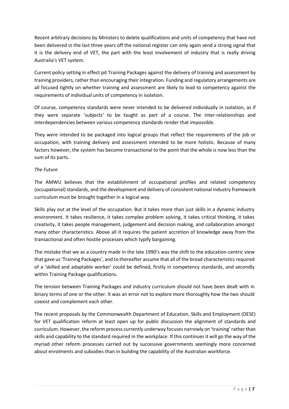Recent arbitrary decisions by Ministers to delete qualifications and units of competency that have not been delivered in the last three years off the national register can only again send a strong signal that it is the delivery end of VET, the part with the least involvement of industry that is really driving Australia's VET system.

Current policy setting in effect pit Training Packages against the delivery of training and assessment by training providers, rather than encouraging their integration. Funding and regulatory arrangements are all focused tightly on whether training and assessment are likely to lead to competency against the requirements of individual units of competency in isolation.

Of course, competency standards were never intended to be delivered individually in isolation, as if they were separate 'subjects' to be taught as part of a course. The inter-relationships and interdependencies between various competency standards render that impossible.

They were intended to be packaged into logical groups that reflect the requirements of the job or occupation, with training delivery and assessment intended to be more holistic. Because of many factors however, the system has become transactional to the point that the whole is now less than the sum of its parts.

#### *The Future*

The AMWU believes that the establishment of occupational profiles and related competency (occupational) standards, and the development and delivery of consistent national industry framework curriculum must be brought together in a logical way.

Skills play out at the level of the occupation. But it takes more than just skills in a dynamic industry environment. It takes resilience, it takes complex problem solving, it takes critical thinking, it takes creativity, it takes people management, judgement and decision making, and collaboration amongst many other characteristics. Above all it requires the patient accretion of knowledge away from the transactional and often hostile processes which typify bargaining.

The mistake that we as a country made in the late 1990's was the shift to the education-centric view that gave us 'Training Packages', and to thereafter assume that all of the broad characteristics required of a 'skilled and adaptable worker' could be defined, firstly in competency standards, and secondly within Training Package qualifications.

The tension between Training Packages and industry curriculum should not have been dealt with in binary terms of one or the other. It was an error not to explore more thoroughly how the two should coexist and complement each other.

The recent proposals by the Commonwealth Department of Education, Skills and Employment (DESE) for VET qualification reform at least open up for public discussion the alignment of standards and curriculum. However, the reform process currently underway focuses narrowly on 'training' rather than skills and capability to the standard required in the workplace. If this continues it will go the way of the myriad other reform processes carried out by successive governments seemingly more concerned about enrolments and subsidies than in building the capability of the Australian workforce.